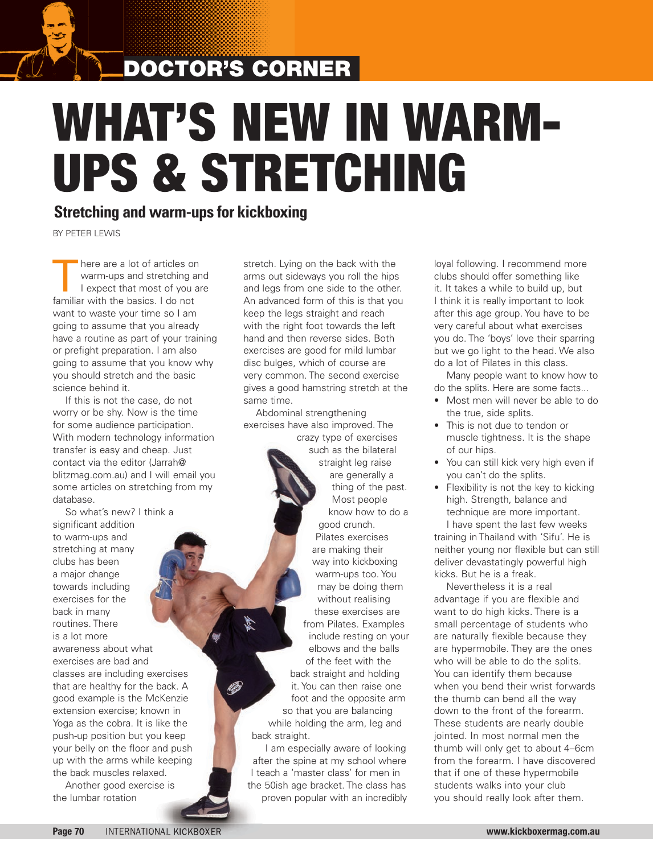# DOCtOr's COrner

# What's neW in Warmups & stretching

## **Stretching and warm-ups for kickboxing**

BY PETEr LEWIS

 $\blacktriangleright$ 

There are a lot of articles on<br>
Warm-ups and stretching and<br>
I expect that most of you are<br>
familiar with the bained of you are warm-ups and stretching and familiar with the basics. I do not want to waste your time so I am going to assume that you already have a routine as part of your training or prefight preparation. I am also going to assume that you know why you should stretch and the basic science behind it.

If this is not the case, do not worry or be shy. Now is the time for some audience participation. With modern technology information transfer is easy and cheap. Just contact via the editor (Jarrah@ blitzmag.com.au) and I will email you some articles on stretching from my database.

So what's new? I think a

significant addition to warm-ups and stretching at many clubs has been a major change towards including exercises for the back in many routines. There is a lot more awareness about what exercises are bad and classes are including exercises that are healthy for the back. A good example is the McKenzie extension exercise; known in Yoga as the cobra. It is like the push-up position but you keep your belly on the floor and push up with the arms while keeping the back muscles relaxed.

Another good exercise is the lumbar rotation

stretch. Lying on the back with the arms out sideways you roll the hips and legs from one side to the other. An advanced form of this is that you keep the legs straight and reach with the right foot towards the left hand and then reverse sides. Both exercises are good for mild lumbar disc bulges, which of course are very common. The second exercise gives a good hamstring stretch at the same time.

Abdominal strengthening exercises have also improved. The crazy type of exercises such as the bilateral straight leg raise are generally a thing of the past. Most people know how to do a good crunch. Pilates exercises are making their way into kickboxing warm-ups too. You may be doing them without realising these exercises are from Pilates. Examples include resting on your elbows and the balls of the feet with the back straight and holding it. You can then raise one foot and the opposite arm so that you are balancing while holding the arm, leg and back straight.

I am especially aware of looking after the spine at my school where I teach a 'master class' for men in the 50ish age bracket. The class has proven popular with an incredibly loyal following. I recommend more clubs should offer something like it. It takes a while to build up, but I think it is really important to look after this age group. You have to be very careful about what exercises you do. The 'boys' love their sparring but we go light to the head. We also do a lot of Pilates in this class.

Many people want to know how to do the splits. Here are some facts...

- Most men will never be able to do the true, side splits.
- This is not due to tendon or muscle tightness. It is the shape of our hips.
- You can still kick very high even if you can't do the splits.
- Flexibility is not the key to kicking high. Strength, balance and technique are more important.

I have spent the last few weeks training in Thailand with 'Sifu'. He is neither young nor flexible but can still deliver devastatingly powerful high kicks. But he is a freak.

Nevertheless it is a real advantage if you are flexible and want to do high kicks. There is a small percentage of students who are naturally flexible because they are hypermobile. They are the ones who will be able to do the splits. You can identify them because when you bend their wrist forwards the thumb can bend all the way down to the front of the forearm. These students are nearly double jointed. In most normal men the thumb will only get to about 4–6cm from the forearm. I have discovered that if one of these hypermobile students walks into your club you should really look after them.